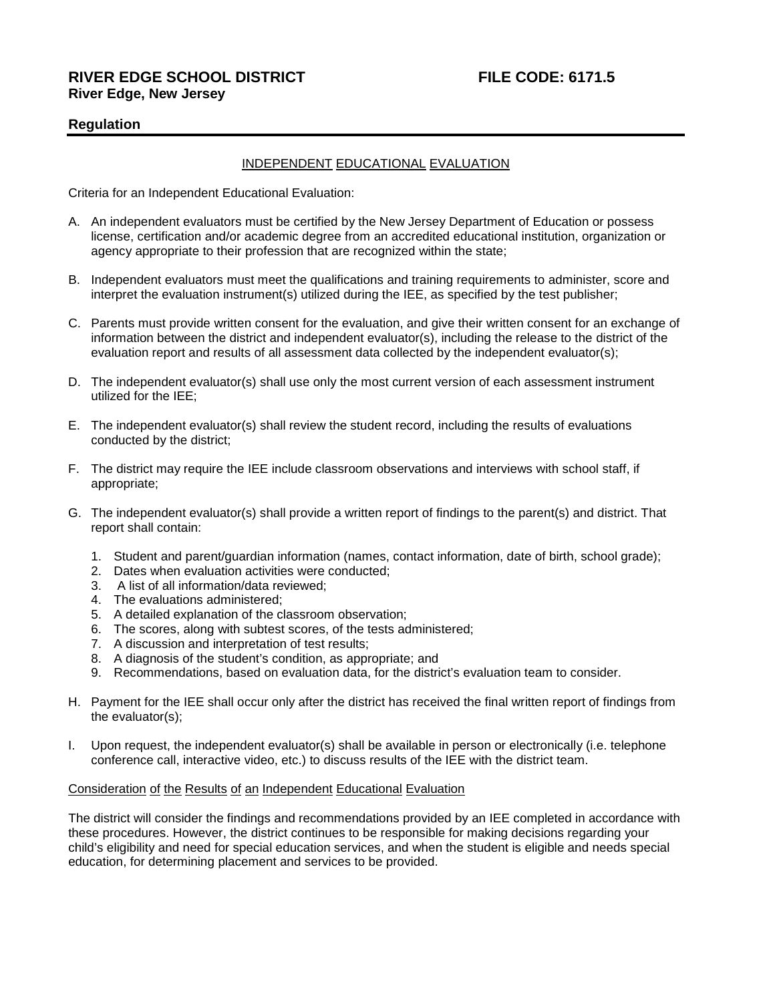# **RIVER EDGE SCHOOL DISTRICT FILE CODE: 6171.5 River Edge, New Jersey**

# **Regulation**

## INDEPENDENT EDUCATIONAL EVALUATION

Criteria for an Independent Educational Evaluation:

- A. An independent evaluators must be certified by the New Jersey Department of Education or possess license, certification and/or academic degree from an accredited educational institution, organization or agency appropriate to their profession that are recognized within the state;
- B. Independent evaluators must meet the qualifications and training requirements to administer, score and interpret the evaluation instrument(s) utilized during the IEE, as specified by the test publisher;
- C. Parents must provide written consent for the evaluation, and give their written consent for an exchange of information between the district and independent evaluator(s), including the release to the district of the evaluation report and results of all assessment data collected by the independent evaluator(s);
- D. The independent evaluator(s) shall use only the most current version of each assessment instrument utilized for the IEE;
- E. The independent evaluator(s) shall review the student record, including the results of evaluations conducted by the district;
- F. The district may require the IEE include classroom observations and interviews with school staff, if appropriate;
- G. The independent evaluator(s) shall provide a written report of findings to the parent(s) and district. That report shall contain:
	- 1. Student and parent/guardian information (names, contact information, date of birth, school grade);
	- 2. Dates when evaluation activities were conducted;
	- 3. A list of all information/data reviewed;
	- 4. The evaluations administered;
	- 5. A detailed explanation of the classroom observation;
	- 6. The scores, along with subtest scores, of the tests administered;
	- 7. A discussion and interpretation of test results;
	- 8. A diagnosis of the student's condition, as appropriate; and
	- 9. Recommendations, based on evaluation data, for the district's evaluation team to consider.
- H. Payment for the IEE shall occur only after the district has received the final written report of findings from the evaluator(s);
- I. Upon request, the independent evaluator(s) shall be available in person or electronically (i.e. telephone conference call, interactive video, etc.) to discuss results of the IEE with the district team.

#### Consideration of the Results of an Independent Educational Evaluation

The district will consider the findings and recommendations provided by an IEE completed in accordance with these procedures. However, the district continues to be responsible for making decisions regarding your child's eligibility and need for special education services, and when the student is eligible and needs special education, for determining placement and services to be provided.